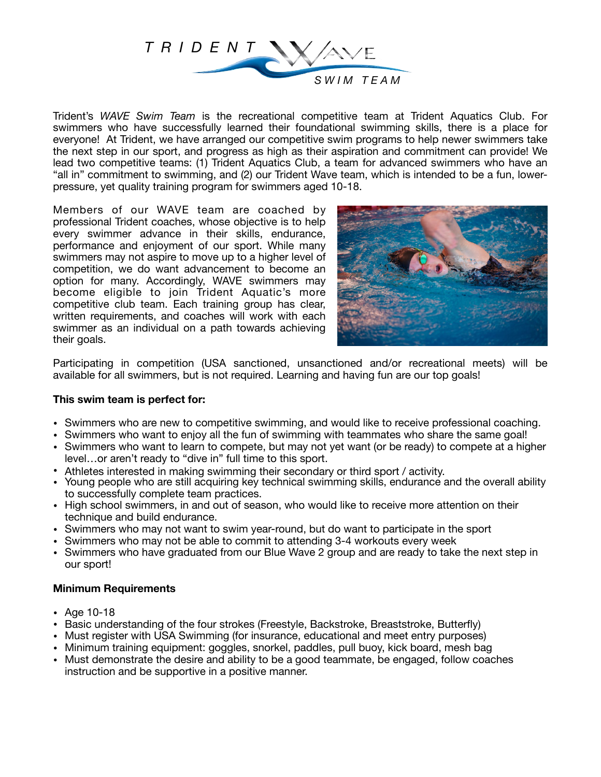

Trident's *WAVE Swim Team* is the recreational competitive team at Trident Aquatics Club. For swimmers who have successfully learned their foundational swimming skills, there is a place for everyone! At Trident, we have arranged our competitive swim programs to help newer swimmers take the next step in our sport, and progress as high as their aspiration and commitment can provide! We lead two competitive teams: (1) Trident Aquatics Club, a team for advanced swimmers who have an "all in" commitment to swimming, and (2) our Trident Wave team, which is intended to be a fun, lowerpressure, yet quality training program for swimmers aged 10-18.

Members of our WAVE team are coached by professional Trident coaches, whose objective is to help every swimmer advance in their skills, endurance, performance and enjoyment of our sport. While many swimmers may not aspire to move up to a higher level of competition, we do want advancement to become an option for many. Accordingly, WAVE swimmers may become eligible to join Trident Aquatic's more competitive club team. Each training group has clear, written requirements, and coaches will work with each swimmer as an individual on a path towards achieving their goals.



Participating in competition (USA sanctioned, unsanctioned and/or recreational meets) will be available for all swimmers, but is not required. Learning and having fun are our top goals!

## **This swim team is perfect for:**

- Swimmers who are new to competitive swimming, and would like to receive professional coaching.
- Swimmers who want to enjoy all the fun of swimming with teammates who share the same goal!
- Swimmers who want to learn to compete, but may not yet want (or be ready) to compete at a higher level…or aren't ready to "dive in" full time to this sport.
- Athletes interested in making swimming their secondary or third sport / activity.
- Young people who are still acquiring key technical swimming skills, endurance and the overall ability to successfully complete team practices.
- High school swimmers, in and out of season, who would like to receive more attention on their technique and build endurance.
- Swimmers who may not want to swim year-round, but do want to participate in the sport
- Swimmers who may not be able to commit to attending 3-4 workouts every week
- Swimmers who have graduated from our Blue Wave 2 group and are ready to take the next step in our sport!

## **Minimum Requirements**

- Age 10-18
- Basic understanding of the four strokes (Freestyle, Backstroke, Breaststroke, Butterfly)
- Must register with USA Swimming (for insurance, educational and meet entry purposes)
- Minimum training equipment: goggles, snorkel, paddles, pull buoy, kick board, mesh bag
- Must demonstrate the desire and ability to be a good teammate, be engaged, follow coaches instruction and be supportive in a positive manner.